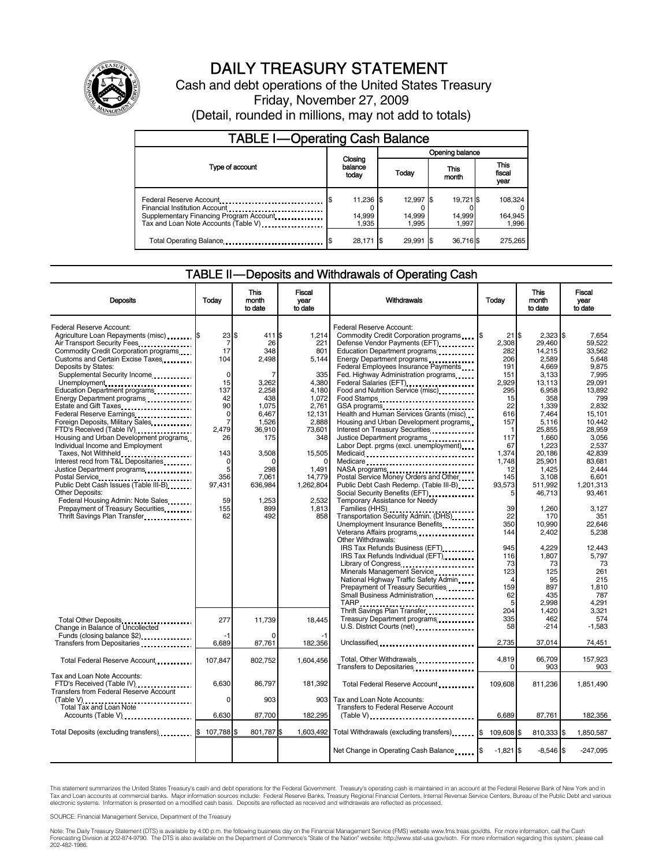

# DAILY TREASURY STATEMENT

Cash and debt operations of the United States Treasury Friday, November 27, 2009 (Detail, rounded in millions, may not add to totals)

| <b>TABLE I-Operating Cash Balance</b>                                                                                                                                                   |                              |                 |                              |               |                              |  |                             |  |
|-----------------------------------------------------------------------------------------------------------------------------------------------------------------------------------------|------------------------------|-----------------|------------------------------|---------------|------------------------------|--|-----------------------------|--|
|                                                                                                                                                                                         |                              | Opening balance |                              |               |                              |  |                             |  |
| Type of account                                                                                                                                                                         | Closing<br>balance<br>today  | Today           |                              | This<br>month |                              |  | This<br>fiscal<br>year      |  |
| Federal Reserve Account<br>Financial Institution Account<br>Supplementary Financing Program Account<br>Tax and Loan Note Accounts (Table V) <b>Tax and Loan Note Accounts</b> (Table V) | 11,236 \$<br>14.999<br>1.935 |                 | 12,997 \$<br>14,999<br>1.995 |               | 19.721 \$<br>14.999<br>1.997 |  | 108,324<br>164,945<br>1,996 |  |
| Total Operating Balance                                                                                                                                                                 | 28,171                       | - 15            | 29.991 \$                    |               | 36,716\$                     |  | 275.265                     |  |

### TABLE II — Deposits and Withdrawals of Operating Cash

| <b>Deposits</b>                                                                                                                                                                                                                                                                                                       | Todav                                                               | <b>This</b><br>month<br>to date                            | Fiscal<br>vear<br>to date                                      | Withdrawals                                                                                                                                                                                                                                                                                                                               | Todav                                                                                       | <b>This</b><br>month<br>to date                                                    | <b>Fiscal</b><br>vear<br>to date                                                |
|-----------------------------------------------------------------------------------------------------------------------------------------------------------------------------------------------------------------------------------------------------------------------------------------------------------------------|---------------------------------------------------------------------|------------------------------------------------------------|----------------------------------------------------------------|-------------------------------------------------------------------------------------------------------------------------------------------------------------------------------------------------------------------------------------------------------------------------------------------------------------------------------------------|---------------------------------------------------------------------------------------------|------------------------------------------------------------------------------------|---------------------------------------------------------------------------------|
| Federal Reserve Account:<br>Agriculture Loan Repayments (misc) [35]<br>Air Transport Security Fees<br>Commodity Credit Corporation programs<br>Customs and Certain Excise Taxes<br>Deposits by States:<br>Supplemental Security Income<br>Unemployment<br>Education Department programs<br>Energy Department programs | 23 \$<br>$\overline{7}$<br>17<br>104<br>$\Omega$<br>15<br>137<br>42 | 411 \$<br>26<br>348<br>2,498<br>7<br>3,262<br>2.258<br>438 | 1,214<br>221<br>801<br>5.144<br>335<br>4,380<br>4,180<br>1,072 | Federal Reserve Account:<br>Commodity Credit Corporation programs \,\<br>Defense Vendor Payments (EFT)<br>Education Department programs<br>Energy Department programs<br>Federal Employees Insurance Payments<br>Fed. Highway Administration programs<br>Federal Salaries (EFT)<br>Food and Nutrition Service (misc) [100]<br>Food Stamps | $21$ $\overline{\text{S}}$<br>2,308<br>282<br>206<br>191<br>151<br>2,929<br>295<br>15<br>22 | $2.323$ S<br>29.460<br>14,215<br>2,589<br>4,669<br>3.133<br>13,113<br>6,958<br>358 | 7.654<br>59.522<br>33.562<br>5.648<br>9,875<br>7.995<br>29,091<br>13.892<br>799 |
| Estate and Gift Taxes<br>Federal Reserve Earnings<br>Foreign Deposits, Military Sales<br>FTD's Received (Table IV)<br>Housing and Urban Development programs<br>Individual Income and Employment<br>Taxes, Not Withheld<br>Interest recd from T&L Depositaries                                                        | 90<br>$\mathbf 0$<br>7<br>2.479<br>26<br>143<br>0                   | 1.075<br>6,467<br>1,526<br>36,910<br>175<br>3,508          | 2,761<br>12,131<br>2,888<br>73,601<br>348<br>15,505            | Health and Human Services Grants (misc)<br>Housing and Urban Development programs<br>Interest on Treasury Securities<br>Justice Department programs<br><br>Labor Dept. prgms (excl. unemployment)<br>Medicaid<br>Medicare                                                                                                                 | 616<br>157<br>1<br>117<br>67<br>1.374<br>1.748                                              | 1.339<br>7,464<br>5,116<br>25,855<br>1,660<br>1,223<br>20,186<br>25.901            | 2.832<br>15,101<br>10,442<br>28.959<br>3,056<br>2.537<br>42.839<br>83.681       |
| Justice Department programs<br>Postal Service<br>Public Debt Cash Issues (Table III-B)<br><b>Other Deposits:</b><br>Federal Housing Admin: Note Sales<br>Prepayment of Treasury Securities.                                                                                                                           | 5<br>356<br>97,431<br>59<br>155                                     | 298<br>7,061<br>636,984<br>1,253<br>899                    | 1,491<br>14,779<br>1,262,804<br>2.532<br>1,813                 | NASA programs<br>Postal Service Money Orders and Other<br>Public Debt Cash Redemp. (Table III-B)<br>Social Security Benefits (EFT)<br><br>Temporary Assistance for Needy<br>Families (HHS)                                                                                                                                                | 12<br>145<br>93,573<br>39                                                                   | 1.425<br>3,108<br>511,992<br>46,713<br>1,260                                       | 2.444<br>6,601<br>1.201.313<br>93,461<br>3,127                                  |
| Thrift Savings Plan Transfer                                                                                                                                                                                                                                                                                          | 62                                                                  | 492                                                        | 858                                                            | Transportation Security Admin. (DHS)<br>Unemployment Insurance Benefits<br>Veterans Affairs programs<br>Other Withdrawals:<br>IRS Tax Refunds Business (EFT)<br>IRS Tax Refunds Individual (EFT)                                                                                                                                          | 22<br>350<br>144<br>945<br>116                                                              | 170<br>10.990<br>2,402<br>4,229<br>1.807                                           | 351<br>22.646<br>5,238<br>12,443<br>5.797                                       |
|                                                                                                                                                                                                                                                                                                                       |                                                                     |                                                            |                                                                | Library of Congress<br>Minerals Management Service<br>National Highway Traffic Safety Admin<br>Prepayment of Treasury Securities<br>Small Business Administration <b>Constanting</b>                                                                                                                                                      | 73<br>123<br>159<br>62<br>5                                                                 | 73<br>125<br>95<br>897<br>435<br>2,998                                             | 73<br>261<br>215<br>1,810<br>787<br>4.291                                       |
| Change in Balance of Uncollected<br>Funds (closing balance \$2)                                                                                                                                                                                                                                                       | 277<br>$-1$                                                         | 11,739                                                     | 18,445                                                         | Thrift Savings Plan Transfer<br>Treasury Department programs<br>U.S. District Courts (net)                                                                                                                                                                                                                                                | 204<br>335<br>58                                                                            | 1.420<br>462<br>-214                                                               | 3.321<br>574<br>$-1,583$                                                        |
| Transfers from Depositaries<br>Total Federal Reserve Account                                                                                                                                                                                                                                                          | 6,689<br>107,847                                                    | 87,761<br>802,752                                          | 182,356<br>1,604,456                                           | Unclassified<br>Total, Other Withdrawals                                                                                                                                                                                                                                                                                                  | 2,735<br>4,819<br><sup>0</sup>                                                              | 37,014<br>66,709<br>903                                                            | 74,451<br>157,923<br>903                                                        |
| Tax and Loan Note Accounts:<br>FTD's Received (Table IV) <b>[19]</b> [19] FTD's Received (Table IV)<br><b>Transfers from Federal Reserve Account</b>                                                                                                                                                                  | 6.630                                                               | 86.797                                                     | 181,392                                                        | Total Federal Reserve Account                                                                                                                                                                                                                                                                                                             | 109.608                                                                                     | 811.236                                                                            | 1,851,490                                                                       |
| (Table V)<br>Total Tax and Loan Note<br>Accounts (Table V)                                                                                                                                                                                                                                                            | 0<br>6,630                                                          | 903<br>87,700                                              | 182,295                                                        | 903 Tax and Loan Note Accounts:<br>Transfers to Federal Reserve Account<br>$(Table V)$ ,                                                                                                                                                                                                                                                  | 6,689                                                                                       | 87,761                                                                             | 182,356                                                                         |
| Total Deposits (excluding transfers) <b>107,788</b> \$                                                                                                                                                                                                                                                                |                                                                     | 801,787\$                                                  | 1,603,492                                                      | Total Withdrawals (excluding transfers) [8]                                                                                                                                                                                                                                                                                               | 109,608 \$                                                                                  | 810,333 \$                                                                         | 1,850,587                                                                       |
|                                                                                                                                                                                                                                                                                                                       |                                                                     |                                                            |                                                                | Net Change in Operating Cash Balance                                                                                                                                                                                                                                                                                                      | $-1,821$ \$                                                                                 | $-8,546$ \$                                                                        | $-247,095$                                                                      |

This statement summarizes the United States Treasury's cash and debt operations for the Federal Government. Treasury's operating cash is maintained in an account at the Federal Reserve Bank of New York and in Tax and Loan accounts at commercial banks. Major information sources include: Federal Reserve Banks, Treasury Regional Financial Centers, Internal Revenue Service Centers, Bureau of the Public Debt and various<br>electronic s

SOURCE: Financial Management Service, Department of the Treasury

Note: The Daily Treasury Statement (DTS) is available by 4:00 p.m. the following business day on the Financial Management Service (FMS) website www.fms.treas.gov/dts. For more information, call the Cash<br>Forecasting Divisio